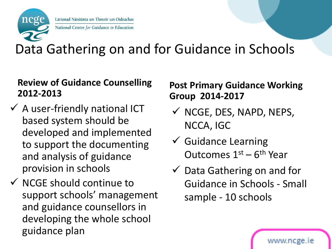

Lárionad Náisiúnta um Threoir san Oideachas National Centre for Guidance in Education

## Data Gathering on and for Guidance in Schools

#### **Review of Guidance Counselling 2012-2013**

- $\checkmark$  A user-friendly national ICT based system should be developed and implemented to support the documenting and analysis of guidance provision in schools
- $\checkmark$  NCGE should continue to support schools' management and guidance counsellors in developing the whole school guidance plan

### **Post Primary Guidance Working Group 2014-2017**

- $\checkmark$  NCGE, DES, NAPD, NEPS, NCCA, IGC
- $\checkmark$  Guidance Learning Outcomes  $1<sup>st</sup> - 6<sup>th</sup>$  Year
- $\checkmark$  Data Gathering on and for Guidance in Schools - Small sample - 10 schools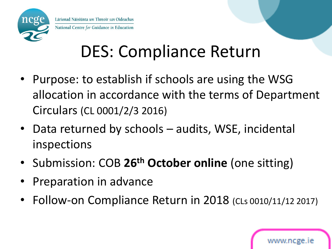

# DES: Compliance Return

- Purpose: to establish if schools are using the WSG allocation in accordance with the terms of Department Circulars (CL 0001/2/3 2016)
- Data returned by schools audits, WSE, incidental inspections
- Submission: COB **26th October online** (one sitting)
- Preparation in advance
- Follow-on Compliance Return in 2018 (CLs 0010/11/12 2017)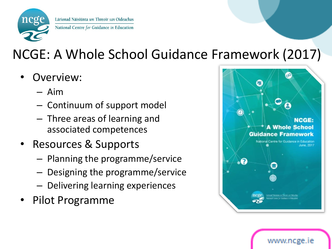

## NCGE: A Whole School Guidance Framework (2017)

- Overview:
	- Aim
	- Continuum of support model
	- Three areas of learning and associated competences
- Resources & Supports
	- Planning the programme/service
	- Designing the programme/service
	- Delivering learning experiences
- Pilot Programme



www.ncge.ie